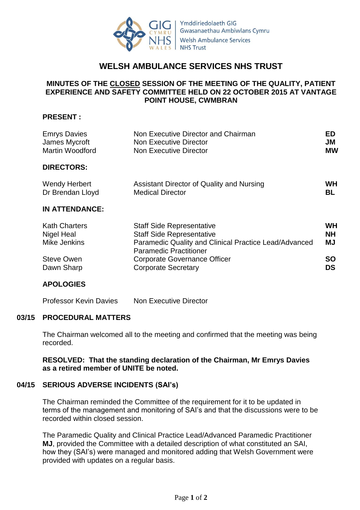

# **WELSH AMBULANCE SERVICES NHS TRUST**

## **MINUTES OF THE CLOSED SESSION OF THE MEETING OF THE QUALITY, PATIENT EXPERIENCE AND SAFETY COMMITTEE HELD ON 22 OCTOBER 2015 AT VANTAGE POINT HOUSE, CWMBRAN**

### **PRESENT :**

| <b>Emrys Davies</b><br>James Mycroft     | Non Executive Director and Chairman<br>Non Executive Director                          | <b>ED</b><br><b>JM</b> |
|------------------------------------------|----------------------------------------------------------------------------------------|------------------------|
| <b>Martin Woodford</b>                   | Non Executive Director                                                                 | <b>MW</b>              |
| <b>DIRECTORS:</b>                        |                                                                                        |                        |
| <b>Wendy Herbert</b><br>Dr Brendan Lloyd | Assistant Director of Quality and Nursing<br><b>Medical Director</b>                   | <b>WH</b><br><b>BL</b> |
| <b>IN ATTENDANCE:</b>                    |                                                                                        |                        |
|                                          |                                                                                        |                        |
| <b>Kath Charters</b>                     | <b>Staff Side Representative</b>                                                       | <b>WH</b>              |
| Nigel Heal                               | <b>Staff Side Representative</b>                                                       | <b>NH</b>              |
| Mike Jenkins                             | Paramedic Quality and Clinical Practice Lead/Advanced<br><b>Paramedic Practitioner</b> | <b>MJ</b>              |
| <b>Steve Owen</b>                        | Corporate Governance Officer                                                           | <b>SO</b>              |

### **APOLOGIES**

Professor Kevin Davies Non Executive Director

### **03/15 PROCEDURAL MATTERS**

The Chairman welcomed all to the meeting and confirmed that the meeting was being recorded.

### **RESOLVED: That the standing declaration of the Chairman, Mr Emrys Davies as a retired member of UNITE be noted.**

#### **04/15 SERIOUS ADVERSE INCIDENTS (SAI's)**

The Chairman reminded the Committee of the requirement for it to be updated in terms of the management and monitoring of SAI's and that the discussions were to be recorded within closed session.

The Paramedic Quality and Clinical Practice Lead/Advanced Paramedic Practitioner **MJ**, provided the Committee with a detailed description of what constituted an SAI, how they (SAI's) were managed and monitored adding that Welsh Government were provided with updates on a regular basis.